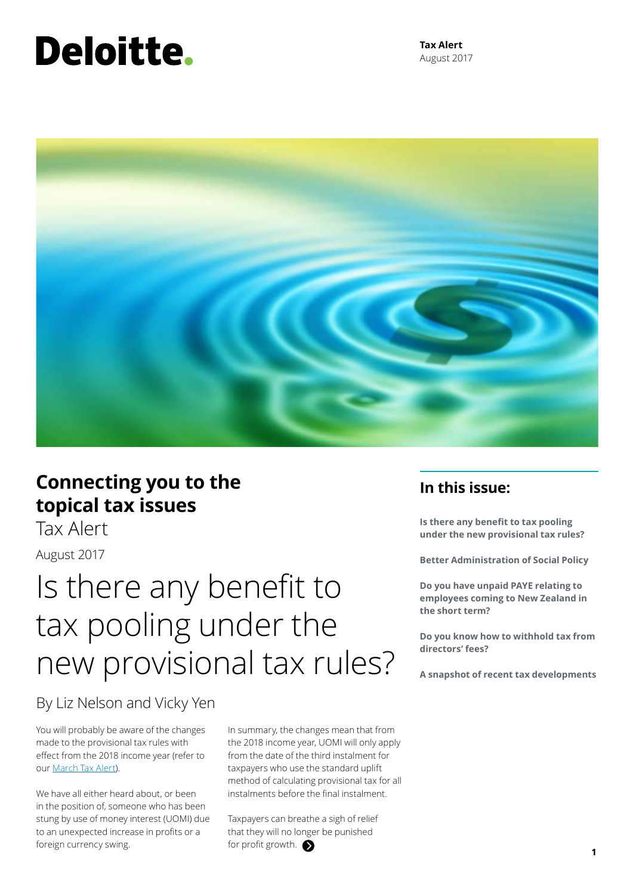# Deloitte.

**Tax Alert** August 2017



### **Connecting you to the topical tax issues**

Tax Alert

August 2017

## Is there any benefit to tax pooling under the new provisional tax rules?

### By Liz Nelson and Vicky Yen

You will probably be aware of the changes made to the provisional tax rules with effect from the 2018 income year (refer to our [March Tax Alert](https://www2.deloitte.com/nz/en/pages/tax-alerts/articles/new-use-of-money-interest-rules-for-provisional-taxpayers.html)).

We have all either heard about, or been in the position of, someone who has been stung by use of money interest (UOMI) due to an unexpected increase in profits or a foreign currency swing.

In summary, the changes mean that from the 2018 income year, UOMI will only apply from the date of the third instalment for taxpayers who use the standard uplift method of calculating provisional tax for all instalments before the final instalment.

Taxpayers can breathe a sigh of relief that they will no longer be punished for profit growth.

### **In this issue:**

**Is there any benefit to tax pooling under the new provisional tax rules?** 

**Better Administration of Social Policy**

**Do you have unpaid PAYE relating to employees coming to New Zealand in the short term?**

**Do you know how to withhold tax from directors' fees?**

**A snapshot of recent tax developments**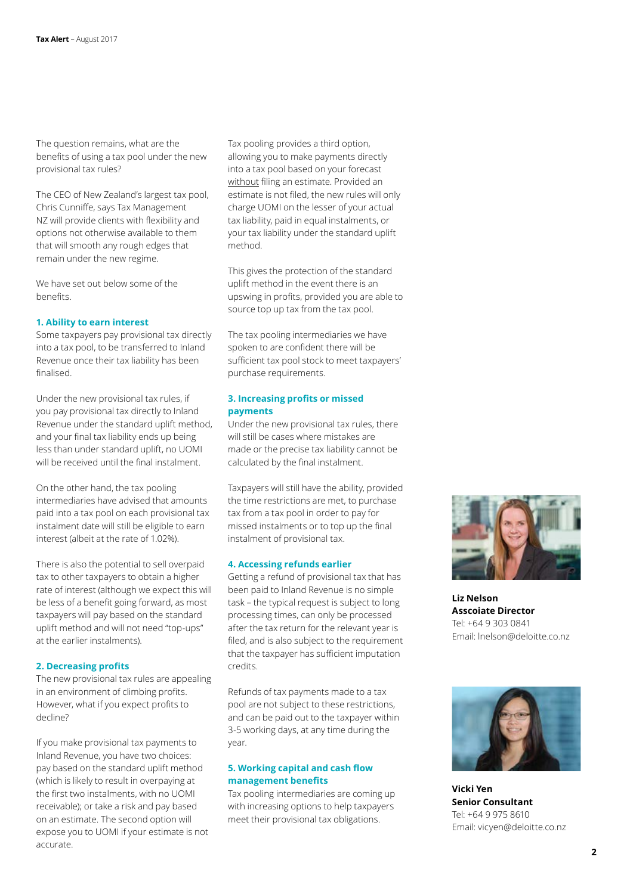The question remains, what are the benefits of using a tax pool under the new provisional tax rules?

The CEO of New Zealand's largest tax pool, Chris Cunniffe, says Tax Management NZ will provide clients with flexibility and options not otherwise available to them that will smooth any rough edges that remain under the new regime.

We have set out below some of the benefits.

#### **1. Ability to earn interest**

Some taxpayers pay provisional tax directly into a tax pool, to be transferred to Inland Revenue once their tax liability has been finalised.

Under the new provisional tax rules, if you pay provisional tax directly to Inland Revenue under the standard uplift method, and your final tax liability ends up being less than under standard uplift, no UOMI will be received until the final instalment.

On the other hand, the tax pooling intermediaries have advised that amounts paid into a tax pool on each provisional tax instalment date will still be eligible to earn interest (albeit at the rate of 1.02%).

There is also the potential to sell overpaid tax to other taxpayers to obtain a higher rate of interest (although we expect this will be less of a benefit going forward, as most taxpayers will pay based on the standard uplift method and will not need "top-ups" at the earlier instalments).

#### **2. Decreasing profits**

The new provisional tax rules are appealing in an environment of climbing profits. However, what if you expect profits to decline?

If you make provisional tax payments to Inland Revenue, you have two choices: pay based on the standard uplift method (which is likely to result in overpaying at the first two instalments, with no UOMI receivable); or take a risk and pay based on an estimate. The second option will expose you to UOMI if your estimate is not accurate.

Tax pooling provides a third option, allowing you to make payments directly into a tax pool based on your forecast without filing an estimate. Provided an estimate is not filed, the new rules will only charge UOMI on the lesser of your actual tax liability, paid in equal instalments, or your tax liability under the standard uplift method.

This gives the protection of the standard uplift method in the event there is an upswing in profits, provided you are able to source top up tax from the tax pool.

The tax pooling intermediaries we have spoken to are confident there will be sufficient tax pool stock to meet taxpayers' purchase requirements.

#### **3. Increasing profits or missed payments**

Under the new provisional tax rules, there will still be cases where mistakes are made or the precise tax liability cannot be calculated by the final instalment.

Taxpayers will still have the ability, provided the time restrictions are met, to purchase tax from a tax pool in order to pay for missed instalments or to top up the final instalment of provisional tax.

#### **4. Accessing refunds earlier**

Getting a refund of provisional tax that has been paid to Inland Revenue is no simple task – the typical request is subject to long processing times, can only be processed after the tax return for the relevant year is filed, and is also subject to the requirement that the taxpayer has sufficient imputation credits.

Refunds of tax payments made to a tax pool are not subject to these restrictions, and can be paid out to the taxpayer within 3-5 working days, at any time during the year.

#### **5. Working capital and cash flow management benefits**

Tax pooling intermediaries are coming up with increasing options to help taxpayers meet their provisional tax obligations.



**Liz Nelson Asscoiate Director** Tel: +64 9 303 0841 Email: lnelson@deloitte.co.nz



**Vicki Yen Senior Consultant** Tel: +64 9 975 8610 Email: vicyen@deloitte.co.nz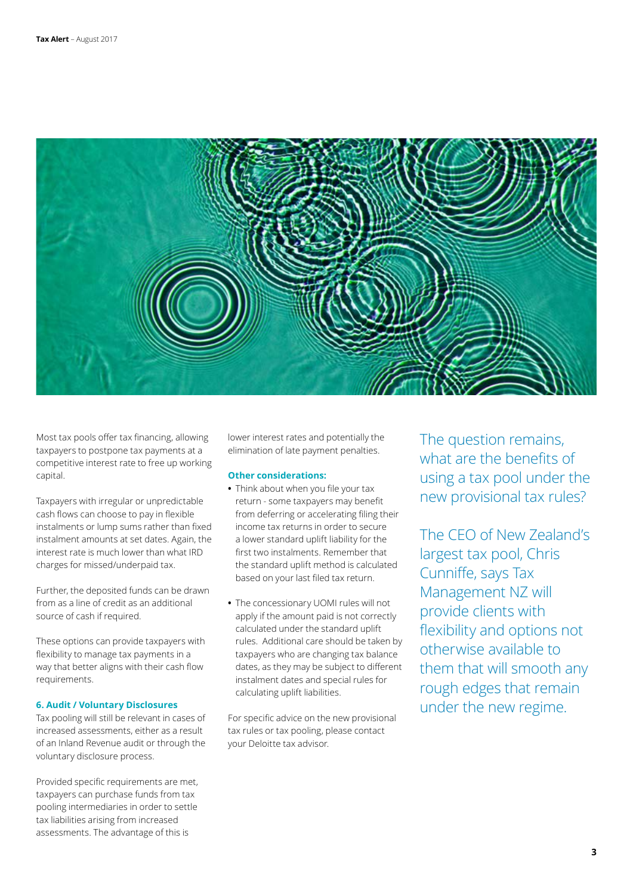

Most tax pools offer tax financing, allowing taxpayers to postpone tax payments at a competitive interest rate to free up working capital.

Taxpayers with irregular or unpredictable cash flows can choose to pay in flexible instalments or lump sums rather than fixed instalment amounts at set dates. Again, the interest rate is much lower than what IRD charges for missed/underpaid tax.

Further, the deposited funds can be drawn from as a line of credit as an additional source of cash if required.

These options can provide taxpayers with flexibility to manage tax payments in a way that better aligns with their cash flow requirements.

#### **6. Audit / Voluntary Disclosures**

Tax pooling will still be relevant in cases of increased assessments, either as a result of an Inland Revenue audit or through the voluntary disclosure process.

Provided specific requirements are met, taxpayers can purchase funds from tax pooling intermediaries in order to settle tax liabilities arising from increased assessments. The advantage of this is

lower interest rates and potentially the elimination of late payment penalties.

#### **Other considerations:**

- **•** Think about when you file your tax return - some taxpayers may benefit from deferring or accelerating filing their income tax returns in order to secure a lower standard uplift liability for the first two instalments. Remember that the standard uplift method is calculated based on your last filed tax return.
- **•** The concessionary UOMI rules will not apply if the amount paid is not correctly calculated under the standard uplift rules. Additional care should be taken by taxpayers who are changing tax balance dates, as they may be subject to different instalment dates and special rules for calculating uplift liabilities.

For specific advice on the new provisional tax rules or tax pooling, please contact your Deloitte tax advisor.

The question remains, what are the benefits of using a tax pool under the new provisional tax rules?

The CEO of New Zealand's largest tax pool, Chris Cunniffe, says Tax Management NZ will provide clients with flexibility and options not otherwise available to them that will smooth any rough edges that remain under the new regime.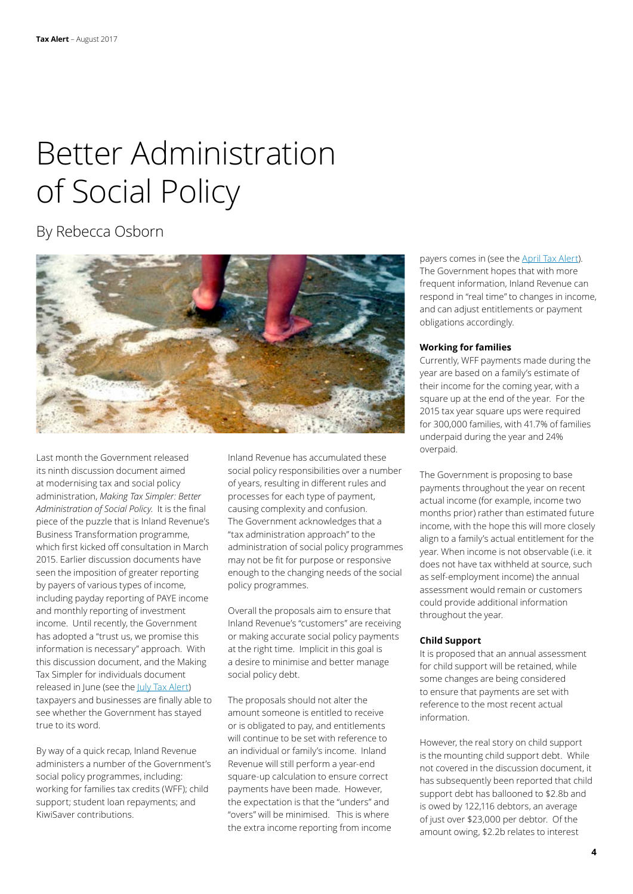## Better Administration of Social Policy

### By Rebecca Osborn



Last month the Government released its ninth discussion document aimed at modernising tax and social policy administration, *Making Tax Simpler: Better Administration of Social Policy*. It is the final piece of the puzzle that is Inland Revenue's Business Transformation programme, which first kicked off consultation in March 2015. Earlier discussion documents have seen the imposition of greater reporting by payers of various types of income, including payday reporting of PAYE income and monthly reporting of investment income. Until recently, the Government has adopted a "trust us, we promise this information is necessary" approach. With this discussion document, and the Making Tax Simpler for individuals document released in June (see the [July Tax Alert](https://www2.deloitte.com/nz/en/pages/tax-alerts/articles/Making-tax-simpler-for-individuals.html)) taxpayers and businesses are finally able to see whether the Government has stayed true to its word.

By way of a quick recap, Inland Revenue administers a number of the Government's social policy programmes, including: working for families tax credits (WFF); child support; student loan repayments; and KiwiSaver contributions.

Inland Revenue has accumulated these social policy responsibilities over a number of years, resulting in different rules and processes for each type of payment, causing complexity and confusion. The Government acknowledges that a "tax administration approach" to the administration of social policy programmes may not be fit for purpose or responsive enough to the changing needs of the social policy programmes.

Overall the proposals aim to ensure that Inland Revenue's "customers" are receiving or making accurate social policy payments at the right time. Implicit in this goal is a desire to minimise and better manage social policy debt.

The proposals should not alter the amount someone is entitled to receive or is obligated to pay, and entitlements will continue to be set with reference to an individual or family's income. Inland Revenue will still perform a year-end square-up calculation to ensure correct payments have been made. However, the expectation is that the "unders" and "overs" will be minimised. This is where the extra income reporting from income payers comes in (see the **April Tax Alert)**. The Government hopes that with more frequent information, Inland Revenue can respond in "real time" to changes in income, and can adjust entitlements or payment obligations accordingly.

#### **Working for families**

Currently, WFF payments made during the year are based on a family's estimate of their income for the coming year, with a square up at the end of the year. For the 2015 tax year square ups were required for 300,000 families, with 41.7% of families underpaid during the year and 24% overpaid.

The Government is proposing to base payments throughout the year on recent actual income (for example, income two months prior) rather than estimated future income, with the hope this will more closely align to a family's actual entitlement for the year. When income is not observable (i.e. it does not have tax withheld at source, such as self-employment income) the annual assessment would remain or customers could provide additional information throughout the year.

#### **Child Support**

It is proposed that an annual assessment for child support will be retained, while some changes are being considered to ensure that payments are set with reference to the most recent actual information.

However, the real story on child support is the mounting child support debt. While not covered in the discussion document, it has subsequently been reported that child support debt has ballooned to \$2.8b and is owed by 122,116 debtors, an average of just over \$23,000 per debtor. Of the amount owing, \$2.2b relates to interest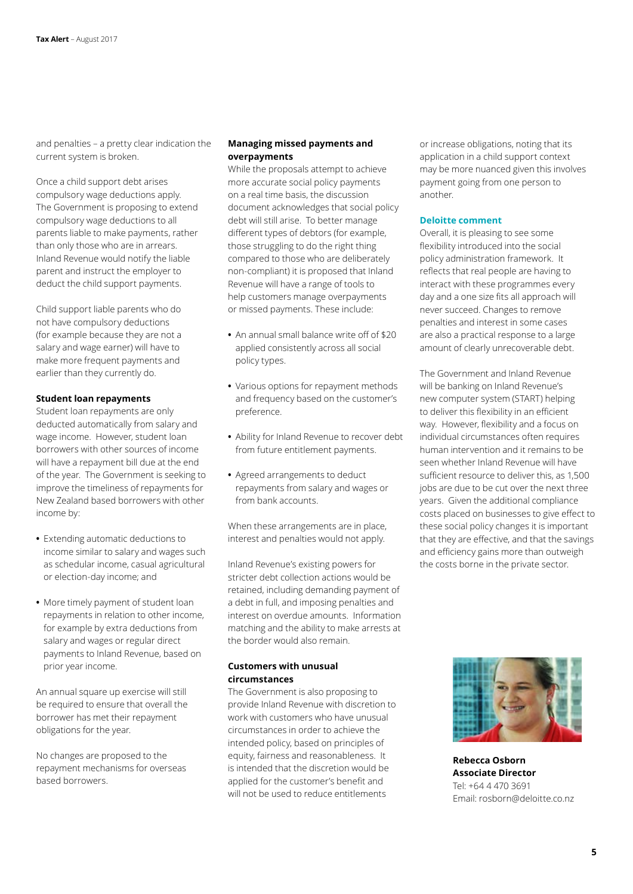and penalties – a pretty clear indication the current system is broken.

Once a child support debt arises compulsory wage deductions apply. The Government is proposing to extend compulsory wage deductions to all parents liable to make payments, rather than only those who are in arrears. Inland Revenue would notify the liable parent and instruct the employer to deduct the child support payments.

Child support liable parents who do not have compulsory deductions (for example because they are not a salary and wage earner) will have to make more frequent payments and earlier than they currently do.

#### **Student loan repayments**

Student loan repayments are only deducted automatically from salary and wage income. However, student loan borrowers with other sources of income will have a repayment bill due at the end of the year. The Government is seeking to improve the timeliness of repayments for New Zealand based borrowers with other income by:

- **•** Extending automatic deductions to income similar to salary and wages such as schedular income, casual agricultural or election-day income; and
- **•** More timely payment of student loan repayments in relation to other income, for example by extra deductions from salary and wages or regular direct payments to Inland Revenue, based on prior year income.

An annual square up exercise will still be required to ensure that overall the borrower has met their repayment obligations for the year.

No changes are proposed to the repayment mechanisms for overseas based borrowers.

#### **Managing missed payments and overpayments**

While the proposals attempt to achieve more accurate social policy payments on a real time basis, the discussion document acknowledges that social policy debt will still arise. To better manage different types of debtors (for example, those struggling to do the right thing compared to those who are deliberately non-compliant) it is proposed that Inland Revenue will have a range of tools to help customers manage overpayments or missed payments. These include:

- **•** An annual small balance write off of \$20 applied consistently across all social policy types.
- **•** Various options for repayment methods and frequency based on the customer's preference.
- **•** Ability for Inland Revenue to recover debt from future entitlement payments.
- **•** Agreed arrangements to deduct repayments from salary and wages or from bank accounts.

When these arrangements are in place, interest and penalties would not apply.

Inland Revenue's existing powers for stricter debt collection actions would be retained, including demanding payment of a debt in full, and imposing penalties and interest on overdue amounts. Information matching and the ability to make arrests at the border would also remain.

#### **Customers with unusual circumstances**

The Government is also proposing to provide Inland Revenue with discretion to work with customers who have unusual circumstances in order to achieve the intended policy, based on principles of equity, fairness and reasonableness. It is intended that the discretion would be applied for the customer's benefit and will not be used to reduce entitlements

or increase obligations, noting that its application in a child support context may be more nuanced given this involves payment going from one person to another.

#### **Deloitte comment**

Overall, it is pleasing to see some flexibility introduced into the social policy administration framework. It reflects that real people are having to interact with these programmes every day and a one size fits all approach will never succeed. Changes to remove penalties and interest in some cases are also a practical response to a large amount of clearly unrecoverable debt.

The Government and Inland Revenue will be banking on Inland Revenue's new computer system (START) helping to deliver this flexibility in an efficient way. However, flexibility and a focus on individual circumstances often requires human intervention and it remains to be seen whether Inland Revenue will have sufficient resource to deliver this, as 1,500 jobs are due to be cut over the next three years. Given the additional compliance costs placed on businesses to give effect to these social policy changes it is important that they are effective, and that the savings and efficiency gains more than outweigh the costs borne in the private sector.



**Rebecca Osborn Associate Director** Tel: +64 4 470 3691 Email: rosborn@deloitte.co.nz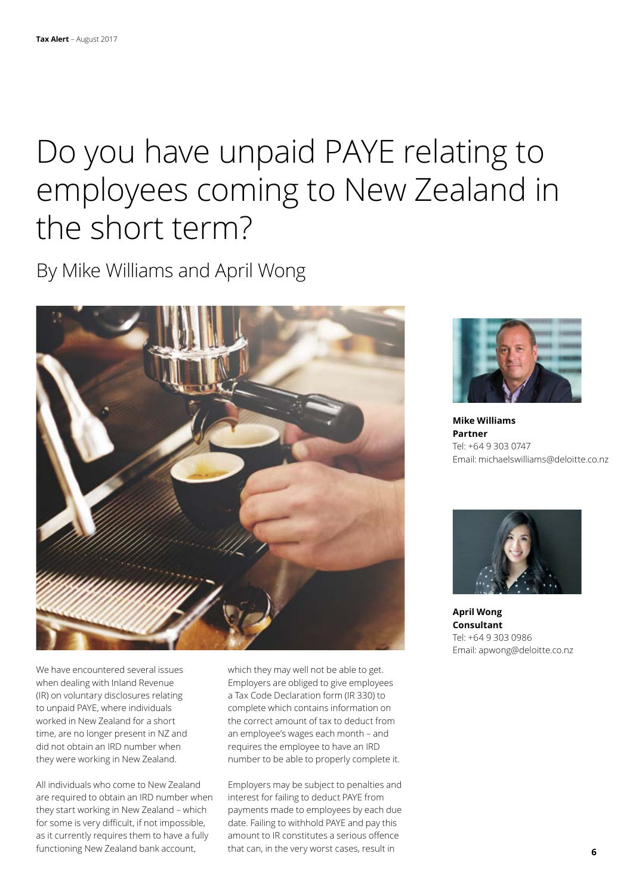## Do you have unpaid PAYE relating to employees coming to New Zealand in the short term?

By Mike Williams and April Wong



We have encountered several issues when dealing with Inland Revenue (IR) on voluntary disclosures relating to unpaid PAYE, where individuals worked in New Zealand for a short time, are no longer present in NZ and did not obtain an IRD number when they were working in New Zealand.

All individuals who come to New Zealand are required to obtain an IRD number when they start working in New Zealand – which for some is very difficult, if not impossible, as it currently requires them to have a fully functioning New Zealand bank account,

which they may well not be able to get. Employers are obliged to give employees a Tax Code Declaration form (IR 330) to complete which contains information on the correct amount of tax to deduct from an employee's wages each month – and requires the employee to have an IRD number to be able to properly complete it.

Employers may be subject to penalties and interest for failing to deduct PAYE from payments made to employees by each due date. Failing to withhold PAYE and pay this amount to IR constitutes a serious offence that can, in the very worst cases, result in



**Mike Williams Partner** Tel: +64 9 303 0747 Email: michaelswilliams@deloitte.co.nz



**April Wong Consultant** Tel: +64 9 303 0986 Email: apwong@deloitte.co.nz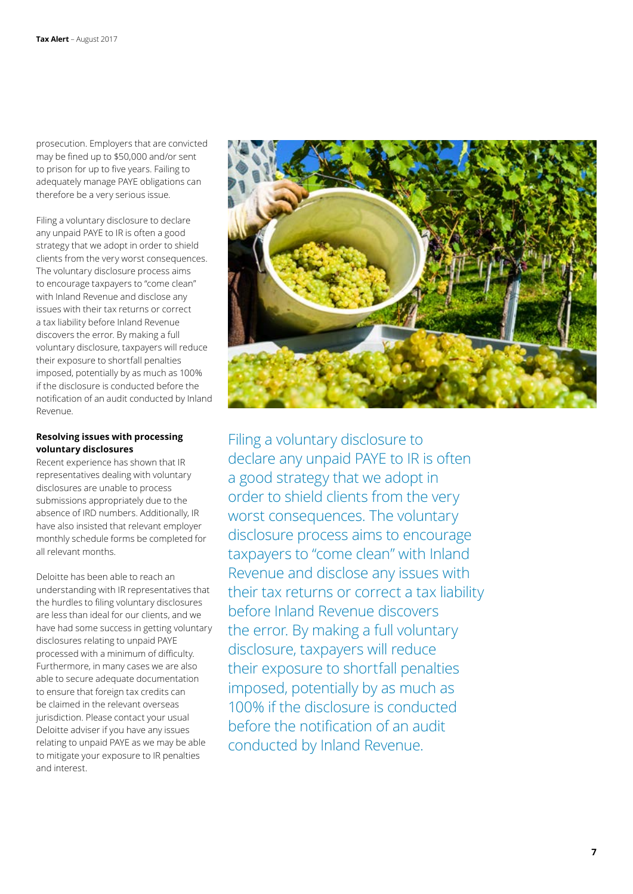prosecution. Employers that are convicted may be fined up to \$50,000 and/or sent to prison for up to five years. Failing to adequately manage PAYE obligations can therefore be a very serious issue.

Filing a voluntary disclosure to declare any unpaid PAYE to IR is often a good strategy that we adopt in order to shield clients from the very worst consequences. The voluntary disclosure process aims to encourage taxpayers to "come clean" with Inland Revenue and disclose any issues with their tax returns or correct a tax liability before Inland Revenue discovers the error. By making a full voluntary disclosure, taxpayers will reduce their exposure to shortfall penalties imposed, potentially by as much as 100% if the disclosure is conducted before the notification of an audit conducted by Inland Revenue.

#### **Resolving issues with processing voluntary disclosures**

Recent experience has shown that IR representatives dealing with voluntary disclosures are unable to process submissions appropriately due to the absence of IRD numbers. Additionally, IR have also insisted that relevant employer monthly schedule forms be completed for all relevant months.

Deloitte has been able to reach an understanding with IR representatives that the hurdles to filing voluntary disclosures are less than ideal for our clients, and we have had some success in getting voluntary disclosures relating to unpaid PAYE processed with a minimum of difficulty. Furthermore, in many cases we are also able to secure adequate documentation to ensure that foreign tax credits can be claimed in the relevant overseas jurisdiction. Please contact your usual Deloitte adviser if you have any issues relating to unpaid PAYE as we may be able to mitigate your exposure to IR penalties and interest.



Filing a voluntary disclosure to declare any unpaid PAYE to IR is often a good strategy that we adopt in order to shield clients from the very worst consequences. The voluntary disclosure process aims to encourage taxpayers to "come clean" with Inland Revenue and disclose any issues with their tax returns or correct a tax liability before Inland Revenue discovers the error. By making a full voluntary disclosure, taxpayers will reduce their exposure to shortfall penalties imposed, potentially by as much as 100% if the disclosure is conducted before the notification of an audit conducted by Inland Revenue.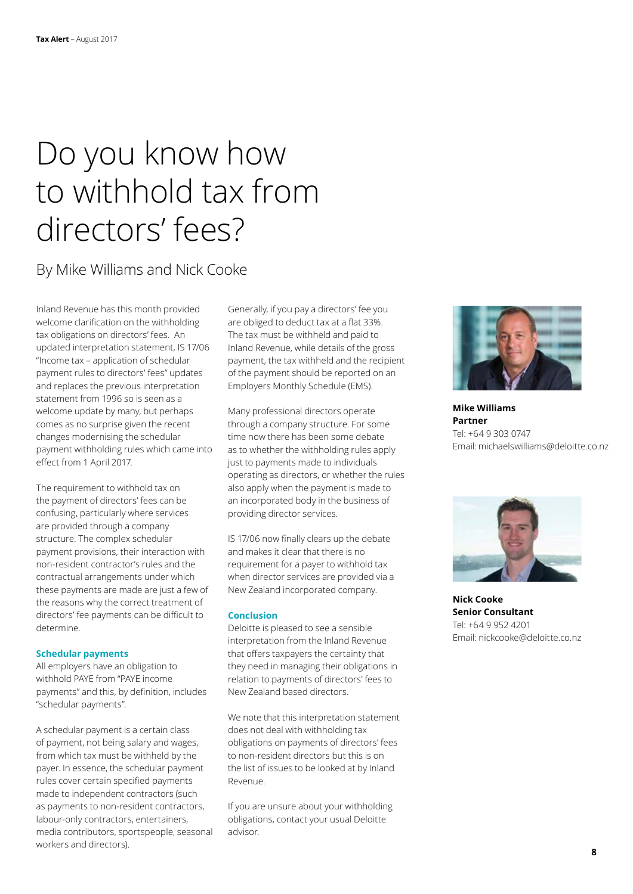## Do you know how to withhold tax from directors' fees?

### By Mike Williams and Nick Cooke

Inland Revenue has this month provided welcome clarification on the withholding tax obligations on directors' fees. An updated interpretation statement, IS 17/06 "Income tax – application of schedular payment rules to directors' fees" updates and replaces the previous interpretation statement from 1996 so is seen as a welcome update by many, but perhaps comes as no surprise given the recent changes modernising the schedular payment withholding rules which came into effect from 1 April 2017.

The requirement to withhold tax on the payment of directors' fees can be confusing, particularly where services are provided through a company structure. The complex schedular payment provisions, their interaction with non-resident contractor's rules and the contractual arrangements under which these payments are made are just a few of the reasons why the correct treatment of directors' fee payments can be difficult to determine.

#### **Schedular payments**

All employers have an obligation to withhold PAYE from "PAYE income payments" and this, by definition, includes "schedular payments".

A schedular payment is a certain class of payment, not being salary and wages, from which tax must be withheld by the payer. In essence, the schedular payment rules cover certain specified payments made to independent contractors (such as payments to non-resident contractors, labour-only contractors, entertainers, media contributors, sportspeople, seasonal workers and directors).

Generally, if you pay a directors' fee you are obliged to deduct tax at a flat 33%. The tax must be withheld and paid to Inland Revenue, while details of the gross payment, the tax withheld and the recipient of the payment should be reported on an Employers Monthly Schedule (EMS).

Many professional directors operate through a company structure. For some time now there has been some debate as to whether the withholding rules apply just to payments made to individuals operating as directors, or whether the rules also apply when the payment is made to an incorporated body in the business of providing director services.

IS 17/06 now finally clears up the debate and makes it clear that there is no requirement for a payer to withhold tax when director services are provided via a New Zealand incorporated company.

#### **Conclusion**

Deloitte is pleased to see a sensible interpretation from the Inland Revenue that offers taxpayers the certainty that they need in managing their obligations in relation to payments of directors' fees to New Zealand based directors.

We note that this interpretation statement does not deal with withholding tax obligations on payments of directors' fees to non-resident directors but this is on the list of issues to be looked at by Inland Revenue.

If you are unsure about your withholding obligations, contact your usual Deloitte advisor.



**Mike Williams Partner** Tel: +64 9 303 0747 Email: michaelswilliams@deloitte.co.nz



**Nick Cooke Senior Consultant** Tel: +64 9 952 4201 Email: nickcooke@deloitte.co.nz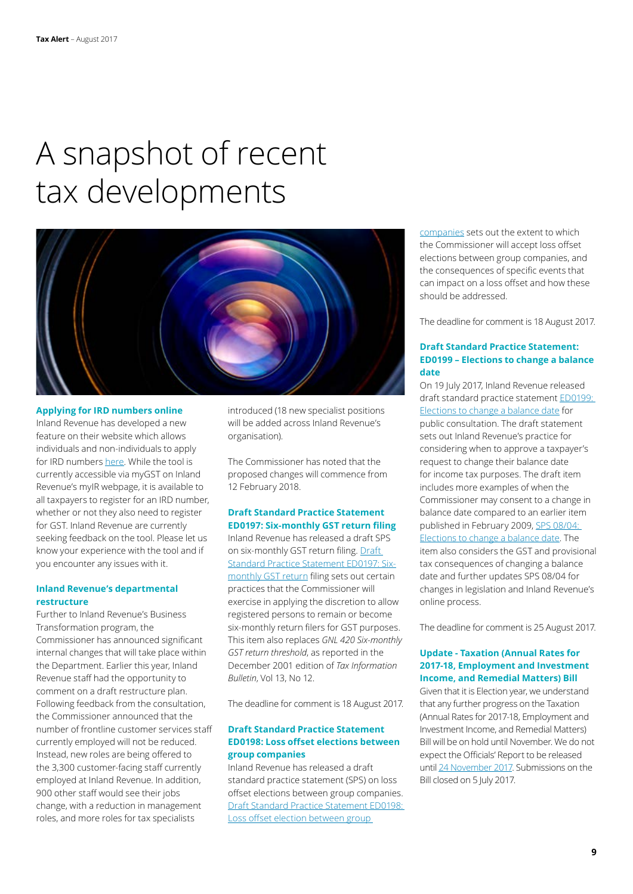## A snapshot of recent tax developments



#### **Applying for IRD numbers online**

Inland Revenue has developed a new feature on their website which allows individuals and non-individuals to apply for IRD numbers [here](https://myir.ird.govt.nz/eservices/home/_/#3). While the tool is currently accessible via myGST on Inland Revenue's myIR webpage, it is available to all taxpayers to register for an IRD number, whether or not they also need to register for GST. Inland Revenue are currently seeking feedback on the tool. Please let us know your experience with the tool and if you encounter any issues with it.

#### **Inland Revenue's departmental restructure**

Further to Inland Revenue's Business Transformation program, the Commissioner has announced significant internal changes that will take place within the Department. Earlier this year, Inland Revenue staff had the opportunity to comment on a draft restructure plan. Following feedback from the consultation, the Commissioner announced that the number of frontline customer services staff currently employed will not be reduced. Instead, new roles are being offered to the 3,300 customer-facing staff currently employed at Inland Revenue. In addition, 900 other staff would see their jobs change, with a reduction in management roles, and more roles for tax specialists

introduced (18 new specialist positions will be added across Inland Revenue's organisation).

The Commissioner has noted that the proposed changes will commence from 12 February 2018.

#### **Draft Standard Practice Statement ED0197: Six-monthly GST return filing**

Inland Revenue has released a draft SPS on six-monthly GST return filing. Draft [Standard Practice Statement ED0197: Six](http://www.ird.govt.nz/resources/2/6/26036c4a-557e-423a-9829-75d26c167ad1/ed0197.pdf)[monthly GST return](http://www.ird.govt.nz/resources/2/6/26036c4a-557e-423a-9829-75d26c167ad1/ed0197.pdf) filing sets out certain practices that the Commissioner will exercise in applying the discretion to allow registered persons to remain or become six-monthly return filers for GST purposes. This item also replaces *GNL 420 Six-monthly GST return threshold*, as reported in the December 2001 edition of *Tax Information Bulletin*, Vol 13, No 12.

The deadline for comment is 18 August 2017.

#### **Draft Standard Practice Statement ED0198: Loss offset elections between group companies**

Inland Revenue has released a draft standard practice statement (SPS) on loss offset elections between group companies. [Draft Standard Practice Statement ED0198:](http://www.ird.govt.nz/resources/e/c/ec5e9709-c4ba-4d07-9882-9fc7a272e34e/ed0198.pdf)  [Loss offset election between group](http://www.ird.govt.nz/resources/e/c/ec5e9709-c4ba-4d07-9882-9fc7a272e34e/ed0198.pdf) 

[companies](http://www.ird.govt.nz/resources/e/c/ec5e9709-c4ba-4d07-9882-9fc7a272e34e/ed0198.pdf) sets out the extent to which the Commissioner will accept loss offset elections between group companies, and the consequences of specific events that can impact on a loss offset and how these should be addressed.

The deadline for comment is 18 August 2017.

#### **Draft Standard Practice Statement: ED0199 – Elections to change a balance date**

On 19 July 2017, Inland Revenue released draft standard practice statement ED0199: [Elections to change a balance date](http://www.ird.govt.nz/resources/2/0/20086d61-d617-4290-ab83-e06b43756bf3/ed0199.pdf) for public consultation. The draft statement sets out Inland Revenue's practice for considering when to approve a taxpayer's request to change their balance date for income tax purposes. The draft item includes more examples of when the Commissioner may consent to a change in balance date compared to an earlier item published in February 2009, [SPS 08/04:](http://www.ird.govt.nz/technical-tax/standard-practice/general/sps-2009-gnl-0804-election-to-change-balance-date.html)  [Elections to change a balance date](http://www.ird.govt.nz/technical-tax/standard-practice/general/sps-2009-gnl-0804-election-to-change-balance-date.html). The item also considers the GST and provisional tax consequences of changing a balance date and further updates SPS 08/04 for changes in legislation and Inland Revenue's online process.

The deadline for comment is 25 August 2017.

#### **Update - Taxation (Annual Rates for 2017-18, Employment and Investment Income, and Remedial Matters) Bill**

Given that it is Election year, we understand that any further progress on the Taxation (Annual Rates for 2017-18, Employment and Investment Income, and Remedial Matters) Bill will be on hold until November. We do not expect the Officials' Report to be released until [24 November 2017.](https://www.parliament.nz/en/pb/bills-and-laws/bills-proposed-laws/document/BILL_72842/taxation-annual-rates-for-2017-18-employment-and-investment) Submissions on the Bill closed on 5 July 2017.